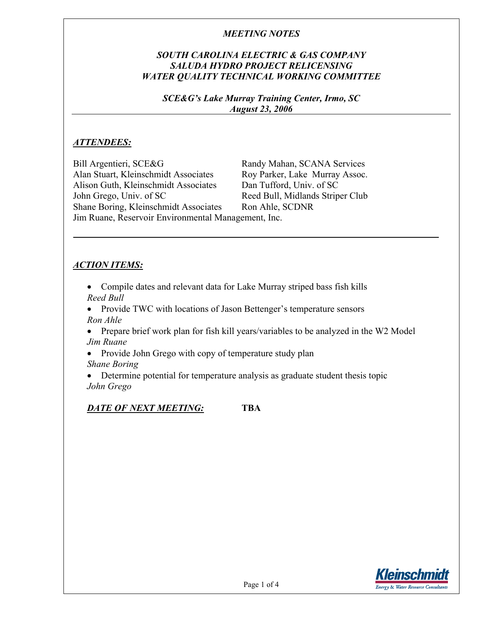## *SOUTH CAROLINA ELECTRIC & GAS COMPANY SALUDA HYDRO PROJECT RELICENSING WATER QUALITY TECHNICAL WORKING COMMITTEE*

*SCE&G's Lake Murray Training Center, Irmo, SC August 23, 2006* 

### *ATTENDEES:*

Bill Argentieri, SCE&G Randy Mahan, SCANA Services Alan Stuart, Kleinschmidt Associates Roy Parker, Lake Murray Assoc. Alison Guth, Kleinschmidt Associates Dan Tufford, Univ. of SC John Grego, Univ. of SC Reed Bull, Midlands Striper Club Shane Boring, Kleinschmidt Associates Ron Ahle, SCDNR Jim Ruane, Reservoir Environmental Management, Inc.

### *ACTION ITEMS:*

- Compile dates and relevant data for Lake Murray striped bass fish kills *Reed Bull*
- Provide TWC with locations of Jason Bettenger's temperature sensors *Ron Ahle*
- Prepare brief work plan for fish kill years/variables to be analyzed in the W2 Model *Jim Ruane*
- Provide John Grego with copy of temperature study plan
- *Shane Boring*
- Determine potential for temperature analysis as graduate student thesis topic *John Grego*

### *DATE OF NEXT MEETING:* **TBA**

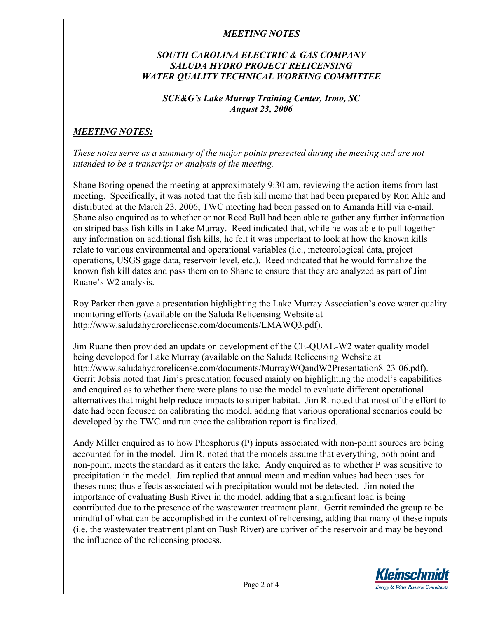# *SOUTH CAROLINA ELECTRIC & GAS COMPANY SALUDA HYDRO PROJECT RELICENSING WATER QUALITY TECHNICAL WORKING COMMITTEE*

### *SCE&G's Lake Murray Training Center, Irmo, SC August 23, 2006*

# *MEETING NOTES:*

*These notes serve as a summary of the major points presented during the meeting and are not intended to be a transcript or analysis of the meeting.* 

Shane Boring opened the meeting at approximately 9:30 am, reviewing the action items from last meeting. Specifically, it was noted that the fish kill memo that had been prepared by Ron Ahle and distributed at the March 23, 2006, TWC meeting had been passed on to Amanda Hill via e-mail. Shane also enquired as to whether or not Reed Bull had been able to gather any further information on striped bass fish kills in Lake Murray. Reed indicated that, while he was able to pull together any information on additional fish kills, he felt it was important to look at how the known kills relate to various environmental and operational variables (i.e., meteorological data, project operations, USGS gage data, reservoir level, etc.). Reed indicated that he would formalize the known fish kill dates and pass them on to Shane to ensure that they are analyzed as part of Jim Ruane's W2 analysis.

Roy Parker then gave a presentation highlighting the Lake Murray Association's cove water quality monitoring efforts (available on the Saluda Relicensing Website at http://www.saludahydrorelicense.com/documents/LMAWQ3.pdf).

Jim Ruane then provided an update on development of the CE-QUAL-W2 water quality model being developed for Lake Murray (available on the Saluda Relicensing Website at http://www.saludahydrorelicense.com/documents/MurrayWQandW2Presentation8-23-06.pdf). Gerrit Jobsis noted that Jim's presentation focused mainly on highlighting the model's capabilities and enquired as to whether there were plans to use the model to evaluate different operational alternatives that might help reduce impacts to striper habitat. Jim R. noted that most of the effort to date had been focused on calibrating the model, adding that various operational scenarios could be developed by the TWC and run once the calibration report is finalized.

Andy Miller enquired as to how Phosphorus (P) inputs associated with non-point sources are being accounted for in the model. Jim R. noted that the models assume that everything, both point and non-point, meets the standard as it enters the lake. Andy enquired as to whether P was sensitive to precipitation in the model. Jim replied that annual mean and median values had been uses for theses runs; thus effects associated with precipitation would not be detected. Jim noted the importance of evaluating Bush River in the model, adding that a significant load is being contributed due to the presence of the wastewater treatment plant. Gerrit reminded the group to be mindful of what can be accomplished in the context of relicensing, adding that many of these inputs (i.e. the wastewater treatment plant on Bush River) are upriver of the reservoir and may be beyond the influence of the relicensing process.

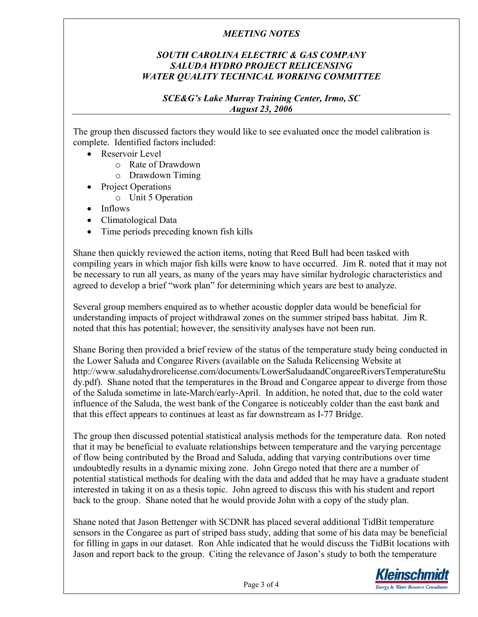# *SOUTH CAROLINA ELECTRIC & GAS COMPANY SALUDA HYDRO PROJECT RELICENSING WATER QUALITY TECHNICAL WORKING COMMITTEE*

### *SCE&G's Lake Murray Training Center, Irmo, SC August 23, 2006*

The group then discussed factors they would like to see evaluated once the model calibration is complete. Identified factors included:

- Reservoir Level
	- o Rate of Drawdown
	- o Drawdown Timing
- Project Operations
	- o Unit 5 Operation
- Inflows
- Climatological Data
- Time periods preceding known fish kills

Shane then quickly reviewed the action items, noting that Reed Bull had been tasked with compiling years in which major fish kills were know to have occurred. Jim R. noted that it may not be necessary to run all years, as many of the years may have similar hydrologic characteristics and agreed to develop a brief "work plan" for determining which years are best to analyze.

Several group members enquired as to whether acoustic doppler data would be beneficial for understanding impacts of project withdrawal zones on the summer striped bass habitat. Jim R. noted that this has potential; however, the sensitivity analyses have not been run.

Shane Boring then provided a brief review of the status of the temperature study being conducted in the Lower Saluda and Congaree Rivers (available on the Saluda Relicensing Website at http://www.saludahydrorelicense.com/documents/LowerSaludaandCongareeRiversTemperatureStu dy.pdf). Shane noted that the temperatures in the Broad and Congaree appear to diverge from those of the Saluda sometime in late-March/early-April. In addition, he noted that, due to the cold water influence of the Saluda, the west bank of the Congaree is noticeably colder than the east bank and that this effect appears to continues at least as far downstream as I-77 Bridge.

The group then discussed potential statistical analysis methods for the temperature data. Ron noted that it may be beneficial to evaluate relationships between temperature and the varying percentage of flow being contributed by the Broad and Saluda, adding that varying contributions over time undoubtedly results in a dynamic mixing zone. John Grego noted that there are a number of potential statistical methods for dealing with the data and added that he may have a graduate student interested in taking it on as a thesis topic. John agreed to discuss this with his student and report back to the group. Shane noted that he would provide John with a copy of the study plan.

Shane noted that Jason Bettenger with SCDNR has placed several additional TidBit temperature sensors in the Congaree as part of striped bass study, adding that some of his data may be beneficial for filling in gaps in our dataset. Ron Ahle indicated that he would discuss the TidBit locations with Jason and report back to the group. Citing the relevance of Jason's study to both the temperature